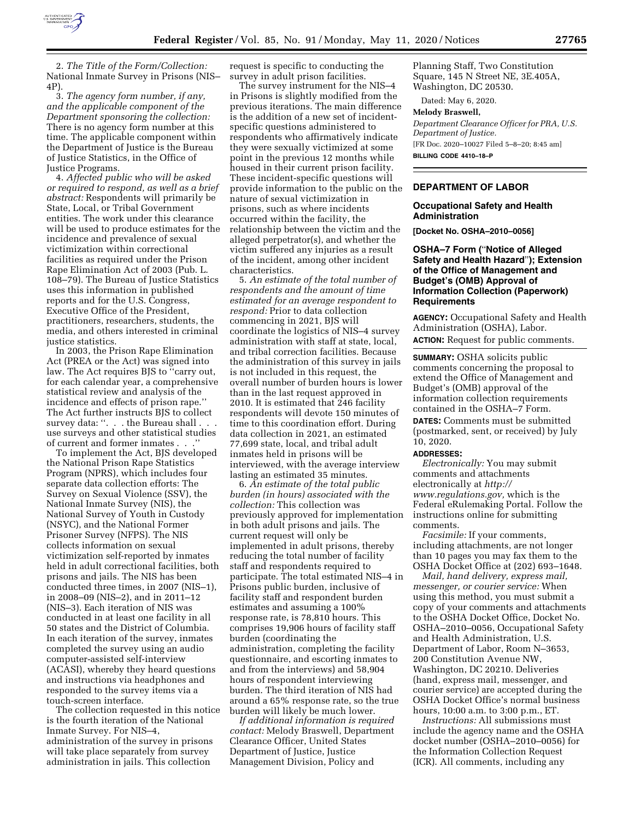

2. *The Title of the Form/Collection:*  National Inmate Survey in Prisons (NIS– 4P).

3. *The agency form number, if any, and the applicable component of the Department sponsoring the collection:*  There is no agency form number at this time. The applicable component within the Department of Justice is the Bureau of Justice Statistics, in the Office of Justice Programs.

4. *Affected public who will be asked or required to respond, as well as a brief abstract:* Respondents will primarily be State, Local, or Tribal Government entities. The work under this clearance will be used to produce estimates for the incidence and prevalence of sexual victimization within correctional facilities as required under the Prison Rape Elimination Act of 2003 (Pub. L. 108–79). The Bureau of Justice Statistics uses this information in published reports and for the U.S. Congress, Executive Office of the President, practitioners, researchers, students, the media, and others interested in criminal justice statistics.

In 2003, the Prison Rape Elimination Act (PREA or the Act) was signed into law. The Act requires BJS to ''carry out, for each calendar year, a comprehensive statistical review and analysis of the incidence and effects of prison rape.'' The Act further instructs BJS to collect survey data: ". . . the Bureau shall . . . use surveys and other statistical studies of current and former inmates . . .''

To implement the Act, BJS developed the National Prison Rape Statistics Program (NPRS), which includes four separate data collection efforts: The Survey on Sexual Violence (SSV), the National Inmate Survey (NIS), the National Survey of Youth in Custody (NSYC), and the National Former Prisoner Survey (NFPS). The NIS collects information on sexual victimization self-reported by inmates held in adult correctional facilities, both prisons and jails. The NIS has been conducted three times, in 2007 (NIS–1), in 2008–09 (NIS–2), and in 2011–12 (NIS–3). Each iteration of NIS was conducted in at least one facility in all 50 states and the District of Columbia. In each iteration of the survey, inmates completed the survey using an audio computer-assisted self-interview (ACASI), whereby they heard questions and instructions via headphones and responded to the survey items via a touch-screen interface.

The collection requested in this notice is the fourth iteration of the National Inmate Survey. For NIS–4, administration of the survey in prisons will take place separately from survey administration in jails. This collection

request is specific to conducting the survey in adult prison facilities.

The survey instrument for the NIS–4 in Prisons is slightly modified from the previous iterations. The main difference is the addition of a new set of incidentspecific questions administered to respondents who affirmatively indicate they were sexually victimized at some point in the previous 12 months while housed in their current prison facility. These incident-specific questions will provide information to the public on the nature of sexual victimization in prisons, such as where incidents occurred within the facility, the relationship between the victim and the alleged perpetrator(s), and whether the victim suffered any injuries as a result of the incident, among other incident characteristics.

5. *An estimate of the total number of respondents and the amount of time estimated for an average respondent to respond:* Prior to data collection commencing in 2021, BJS will coordinate the logistics of NIS–4 survey administration with staff at state, local, and tribal correction facilities. Because the administration of this survey in jails is not included in this request, the overall number of burden hours is lower than in the last request approved in 2010. It is estimated that 246 facility respondents will devote 150 minutes of time to this coordination effort. During data collection in 2021, an estimated 77,699 state, local, and tribal adult inmates held in prisons will be interviewed, with the average interview lasting an estimated 35 minutes.

6. *An estimate of the total public burden (in hours) associated with the collection:* This collection was previously approved for implementation in both adult prisons and jails. The current request will only be implemented in adult prisons, thereby reducing the total number of facility staff and respondents required to participate. The total estimated NIS–4 in Prisons public burden, inclusive of facility staff and respondent burden estimates and assuming a 100% response rate, is 78,810 hours. This comprises 19,906 hours of facility staff burden (coordinating the administration, completing the facility questionnaire, and escorting inmates to and from the interviews) and 58,904 hours of respondent interviewing burden. The third iteration of NIS had around a 65% response rate, so the true burden will likely be much lower.

*If additional information is required contact:* Melody Braswell, Department Clearance Officer, United States Department of Justice, Justice Management Division, Policy and

Planning Staff, Two Constitution Square, 145 N Street NE, 3E.405A, Washington, DC 20530.

Dated: May 6, 2020.

# **Melody Braswell,**

*Department Clearance Officer for PRA, U.S. Department of Justice.*  [FR Doc. 2020–10027 Filed 5–8–20; 8:45 am] **BILLING CODE 4410–18–P** 

## **DEPARTMENT OF LABOR**

# **Occupational Safety and Health Administration**

**[Docket No. OSHA–2010–0056]** 

# **OSHA–7 Form (**''**Notice of Alleged Safety and Health Hazard**''**); Extension of the Office of Management and Budget's (OMB) Approval of Information Collection (Paperwork) Requirements**

**AGENCY:** Occupational Safety and Health Administration (OSHA), Labor.

**ACTION:** Request for public comments.

**SUMMARY:** OSHA solicits public comments concerning the proposal to extend the Office of Management and Budget's (OMB) approval of the information collection requirements contained in the OSHA–7 Form.

**DATES:** Comments must be submitted (postmarked, sent, or received) by July 10, 2020.

#### **ADDRESSES:**

*Electronically:* You may submit comments and attachments electronically at *[http://](http://www.regulations.gov) [www.regulations.gov,](http://www.regulations.gov)* which is the Federal eRulemaking Portal. Follow the instructions online for submitting comments.

*Facsimile:* If your comments, including attachments, are not longer than 10 pages you may fax them to the OSHA Docket Office at (202) 693–1648.

*Mail, hand delivery, express mail, messenger, or courier service:* When using this method, you must submit a copy of your comments and attachments to the OSHA Docket Office, Docket No. OSHA–2010–0056, Occupational Safety and Health Administration, U.S. Department of Labor, Room N–3653, 200 Constitution Avenue NW, Washington, DC 20210. Deliveries (hand, express mail, messenger, and courier service) are accepted during the OSHA Docket Office's normal business hours, 10:00 a.m. to 3:00 p.m., ET.

*Instructions:* All submissions must include the agency name and the OSHA docket number (OSHA–2010–0056) for the Information Collection Request (ICR). All comments, including any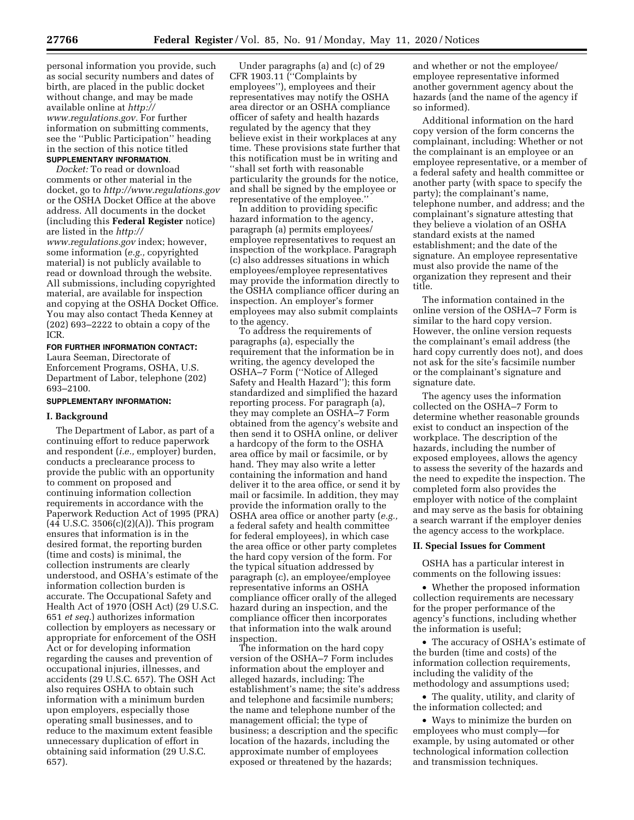personal information you provide, such as social security numbers and dates of birth, are placed in the public docket without change, and may be made available online at *[http://](http://www.regulations.gov) [www.regulations.gov.](http://www.regulations.gov)* For further information on submitting comments, see the ''Public Participation'' heading in the section of this notice titled **SUPPLEMENTARY INFORMATION**.

*Docket:* To read or download comments or other material in the docket, go to *<http://www.regulations.gov>*  or the OSHA Docket Office at the above address. All documents in the docket (including this **Federal Register** notice) are listed in the *[http://](http://www.regulations.gov) [www.regulations.gov](http://www.regulations.gov)* index; however, some information (*e.g.,* copyrighted material) is not publicly available to read or download through the website. All submissions, including copyrighted material, are available for inspection and copying at the OSHA Docket Office. You may also contact Theda Kenney at (202) 693–2222 to obtain a copy of the ICR.

# **FOR FURTHER INFORMATION CONTACT:**

Laura Seeman, Directorate of Enforcement Programs, OSHA, U.S. Department of Labor, telephone (202) 693–2100.

# **SUPPLEMENTARY INFORMATION:**

#### **I. Background**

The Department of Labor, as part of a continuing effort to reduce paperwork and respondent (*i.e.,* employer) burden, conducts a preclearance process to provide the public with an opportunity to comment on proposed and continuing information collection requirements in accordance with the Paperwork Reduction Act of 1995 (PRA) (44 U.S.C. 3506(c)(2)(A)). This program ensures that information is in the desired format, the reporting burden (time and costs) is minimal, the collection instruments are clearly understood, and OSHA's estimate of the information collection burden is accurate. The Occupational Safety and Health Act of 1970 (OSH Act) (29 U.S.C. 651 *et seq.*) authorizes information collection by employers as necessary or appropriate for enforcement of the OSH Act or for developing information regarding the causes and prevention of occupational injuries, illnesses, and accidents (29 U.S.C. 657). The OSH Act also requires OSHA to obtain such information with a minimum burden upon employers, especially those operating small businesses, and to reduce to the maximum extent feasible unnecessary duplication of effort in obtaining said information (29 U.S.C. 657).

Under paragraphs (a) and (c) of 29 CFR 1903.11 (''Complaints by employees''), employees and their representatives may notify the OSHA area director or an OSHA compliance officer of safety and health hazards regulated by the agency that they believe exist in their workplaces at any time. These provisions state further that this notification must be in writing and ''shall set forth with reasonable particularity the grounds for the notice, and shall be signed by the employee or representative of the employee.''

In addition to providing specific hazard information to the agency, paragraph (a) permits employees/ employee representatives to request an inspection of the workplace. Paragraph (c) also addresses situations in which employees/employee representatives may provide the information directly to the OSHA compliance officer during an inspection. An employer's former employees may also submit complaints to the agency.

To address the requirements of paragraphs (a), especially the requirement that the information be in writing, the agency developed the OSHA–7 Form (''Notice of Alleged Safety and Health Hazard''); this form standardized and simplified the hazard reporting process. For paragraph (a), they may complete an OSHA–7 Form obtained from the agency's website and then send it to OSHA online, or deliver a hardcopy of the form to the OSHA area office by mail or facsimile, or by hand. They may also write a letter containing the information and hand deliver it to the area office, or send it by mail or facsimile. In addition, they may provide the information orally to the OSHA area office or another party (*e.g.,*  a federal safety and health committee for federal employees), in which case the area office or other party completes the hard copy version of the form. For the typical situation addressed by paragraph (c), an employee/employee representative informs an OSHA compliance officer orally of the alleged hazard during an inspection, and the compliance officer then incorporates that information into the walk around inspection.

The information on the hard copy version of the OSHA–7 Form includes information about the employer and alleged hazards, including: The establishment's name; the site's address and telephone and facsimile numbers; the name and telephone number of the management official; the type of business; a description and the specific location of the hazards, including the approximate number of employees exposed or threatened by the hazards;

and whether or not the employee/ employee representative informed another government agency about the hazards (and the name of the agency if so informed).

Additional information on the hard copy version of the form concerns the complainant, including: Whether or not the complainant is an employee or an employee representative, or a member of a federal safety and health committee or another party (with space to specify the party); the complainant's name, telephone number, and address; and the complainant's signature attesting that they believe a violation of an OSHA standard exists at the named establishment; and the date of the signature. An employee representative must also provide the name of the organization they represent and their title.

The information contained in the online version of the OSHA–7 Form is similar to the hard copy version. However, the online version requests the complainant's email address (the hard copy currently does not), and does not ask for the site's facsimile number or the complainant's signature and signature date.

The agency uses the information collected on the OSHA–7 Form to determine whether reasonable grounds exist to conduct an inspection of the workplace. The description of the hazards, including the number of exposed employees, allows the agency to assess the severity of the hazards and the need to expedite the inspection. The completed form also provides the employer with notice of the complaint and may serve as the basis for obtaining a search warrant if the employer denies the agency access to the workplace.

# **II. Special Issues for Comment**

OSHA has a particular interest in comments on the following issues:

• Whether the proposed information collection requirements are necessary for the proper performance of the agency's functions, including whether the information is useful;

• The accuracy of OSHA's estimate of the burden (time and costs) of the information collection requirements, including the validity of the methodology and assumptions used;

• The quality, utility, and clarity of the information collected; and

• Ways to minimize the burden on employees who must comply—for example, by using automated or other technological information collection and transmission techniques.